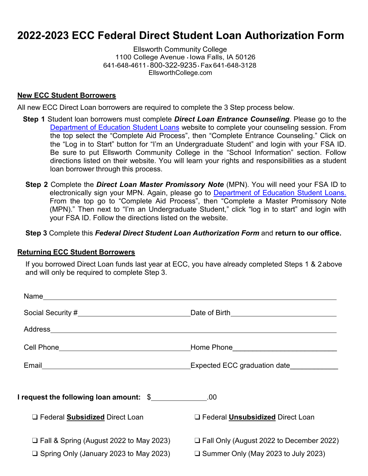# **2022-2023 ECC Federal Direct Student Loan Authorization Form**

Ellsworth Community College 1100 College Avenue • Iowa Falls, IA 50126 641-648-4611 • 800-322-9235• Fax 641-648-3128 [EllsworthCollege.com](https://ellsworthcollege.com/)

#### **New ECC Student Borrowers**

All new ECC Direct Loan borrowers are required to complete the 3 Step process below.

- **Step 1** Student loan borrowers must complete *Direct Loan Entrance Counseling*. Please go to the Department of [Education Student Loans](http://www.studentaid.gov/) website to complete your counseling session. From the top select the "Complete Aid Process", then "Complete Entrance Counseling." Click on the "Log in to Start" button for "I'm an Undergraduate Student" and login with your FSA ID. Be sure to put Ellsworth Community College in the "School Information" section. Follow directions listed on their website. You will learn your rights and responsibilities as a student loan borrower through this process.
- **Step 2** Complete the *Direct Loan Master Promissory Note* (MPN). You will need your FSA ID to electronically sign your MPN. Again, please go to [Department of Education Student Loans.](http://www.studentaid.gov/) From the top go to "Complete Aid Process", then "Complete a Master Promissory Note (MPN)." Then next to "I'm an Undergraduate Student," click "log in to start" and login with your FSA ID. Follow the directions listed on the website.

**Step 3** Complete this *Federal Direct Student Loan Authorization Form* and **return to our office.**

#### **Returning ECC Student Borrowers**

If you borrowed Direct Loan funds last year at ECC, you have already completed Steps 1 & 2 above and will only be required to complete Step 3.

|                                                                                              | Expected ECC graduation date               |  |
|----------------------------------------------------------------------------------------------|--------------------------------------------|--|
|                                                                                              |                                            |  |
| I request the following loan amount: $\frac{1}{2}$ [1000] $\frac{1}{2}$ [0000] $\frac{1}{2}$ |                                            |  |
| □ Federal <b>Subsidized</b> Direct Loan                                                      | $\Box$ Federal Unsubsidized Direct Loan    |  |
|                                                                                              |                                            |  |
| $\Box$ Fall & Spring (August 2022 to May 2023)                                               | □ Fall Only (August 2022 to December 2022) |  |
| $\Box$ Spring Only (January 2023 to May 2023)                                                | $\Box$ Summer Only (May 2023 to July 2023) |  |